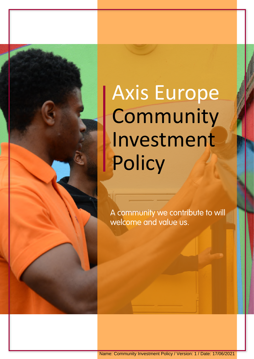Axis Europe Community Investment **Policy** 

A community we contribute to will welcome and value us.

Name: Community Investment Policy / Version: 1 / Date: 17/06/2021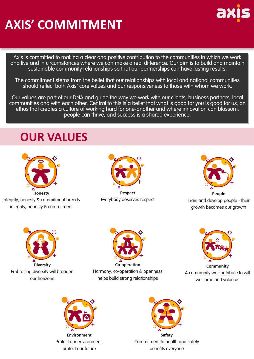## **AXIS' COMMITMENT**

Axis is committed to making a clear and positive contribution to the communities in which we work and live and in circumstances where we can make a real difference. Our aim is to build and maintain sustainable community relationships so that our partnerships can have lasting results.

The commitment stems from the belief that our relationships with local and national communities should reflect both Axis' core values and our responsiveness to those with whom we work.

Our values are part of our DNA and guide the way we work with our clients, business partners, local communities and with each other. Central to this is a belief that what is good for you is good for us, an ethos that creates a culture of working hard for one-another and where innovation can blossom, people can thrive, and success is a shared experience.

### **OUR VALUES**



Integrity, honesty & commitment breeds integrity, honesty & commitment



**Respect** Everybody deserves respect



**People** Train and develop people - their growth becomes our growth



Embracing diversity will broaden our horizons



**Co-operation**  Harmony, co-operation & openness helps build strong relationships



A community we contribute to will welcome and value us



**Environment**  Protect our environment, protect our future



**Safety**  Commitment to health and safety benefits everyone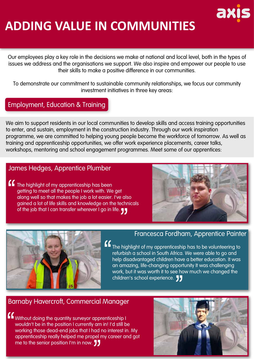# ax

### **ADDING VALUE IN COMMUNITIES**

Our employees play a key role in the decisions we make at national and local level, both in the types of issues we address and the organisations we support. We also inspire and empower our people to use their skills to make a positive difference in our communities.

To demonstrate our commitment to sustainable community relationships, we focus our community investment initiatives in three key areas:

#### Employment, Education & Training

We aim to support residents in our local communities to develop skills and access training opportunities to enter, and sustain, employment in the construction industry. Through our work inspiration programme, we are committed to helping young people become the workforce of tomorrow. As well as training and apprenticeship opportunities, we offer work experience placements, career talks, workshops, mentoring and school engagement programmes. Meet some of our apprentices:

#### James Hedges, Apprentice Plumber

The highlight of my apprenticeship has been getting to meet all the people I work with. We get along well so that makes the job a lot easier. I've also gained a lot of life skills and knowledge on the technicals of the job that I can transfer wherever I go in life.





#### Francesca Fordham, Apprentice Painter

The highlight of my apprenticeship has to be volunteering to refurbish a school in South Africa. We were able to go and help disadvantaged children have a better education. It was an amazing, life-changing opportunity It was challenging work, but it was worth it to see how much we changed the children's school experience. **11** 

#### Barnaby Havercroft, Commercial Manager

Without doing the quantity surveyor apprenticeship I wouldn't be in the position I currently am in! I'd still be working those dead-end jobs that I had no interest in. My apprenticeship really helped me propel my career and got me to the senior position I'm in now.

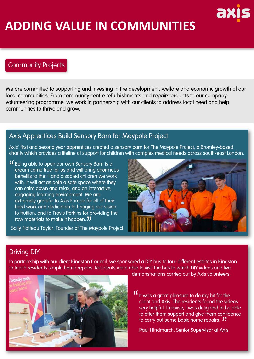### **ADDING VALUE IN COMMUNITIES**

#### Community Projects

We are committed to supporting and investing in the development, welfare and economic growth of our local communities. From community centre refurbishments and repairs projects to our company volunteering programme, we work in partnership with our clients to address local need and help communities to thrive and grow.

#### Axis Apprentices Build Sensory Barn for Maypole Project

Axis' first and second year apprentices created a sensory barn for The Maypole Project, a Bromley-based charity which provides a lifeline of support for children with complex medical needs across south-east London.

K Being able to open our own Sensory Barn is a dream come true for us and will bring enormous benefits to the ill and disabled children we work with. It will act as both a safe space where they can calm down and relax, and an interactive, engaging learning environment. We are extremely grateful to Axis Europe for all of their hard work and dedication to bringing our vision to fruition, and to Travis Perkins for providing the raw materials to make it happen. **JJ** 

Sally Flatteau Taylor, Founder of The Maypole Project



ax

#### Driving DIY

In partnership with our client Kingston Council, we sponsored a DIY bus to tour different estates in Kingston to teach residents simple home repairs. Residents were able to visit the bus to watch DIY videos and live



demonstrations carried out by Axis volunteers.

" It was a great pleasure to do my bit for the client and Axis. The residents found the videos very helpful, likewise, I was delighted to be able to offer them support and give them confidence to carry out some basic home repairs. "

Paul Hindmarch, Senior Supervisor at Axis